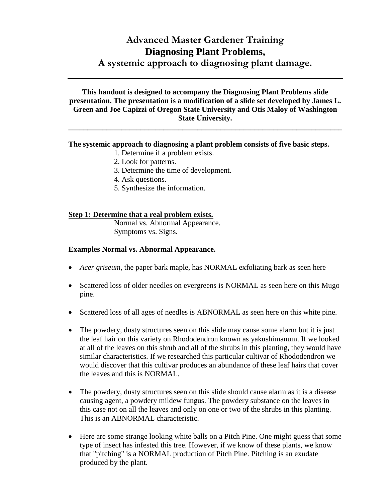# **Advanced Master Gardener Training Diagnosing Plant Problems, A systemic approach to diagnosing plant damage.**

**This handout is designed to accompany the Diagnosing Plant Problems slide presentation. The presentation is a modification of a slide set developed by James L. Green and Joe Capizzi of Oregon State University and Otis Maloy of Washington State University.**

**\_\_\_\_\_\_\_\_\_\_\_\_\_\_\_\_\_\_\_\_\_\_\_\_\_\_\_\_\_\_\_\_\_\_\_\_\_\_\_\_\_\_\_\_\_\_\_\_\_\_\_\_\_\_\_\_\_\_\_\_\_\_\_\_\_\_\_\_\_\_\_\_**

#### **The systemic approach to diagnosing a plant problem consists of five basic steps.**

- 1. Determine if a problem exists.
- 2. Look for patterns.
- 3. Determine the time of development.
- 4. Ask questions.
- 5. Synthesize the information.

#### **Step 1: Determine that a real problem exists.**

Normal vs. Abnormal Appearance. Symptoms vs. Signs.

#### **Examples Normal vs. Abnormal Appearance.**

- *Acer griseum,* the paper bark maple, has NORMAL exfoliating bark as seen here
- Scattered loss of older needles on evergreens is NORMAL as seen here on this Mugo pine.
- Scattered loss of all ages of needles is ABNORMAL as seen here on this white pine.
- The powdery, dusty structures seen on this slide may cause some alarm but it is just the leaf hair on this variety on Rhododendron known as yakushimanum. If we looked at all of the leaves on this shrub and all of the shrubs in this planting, they would have similar characteristics. If we researched this particular cultivar of Rhododendron we would discover that this cultivar produces an abundance of these leaf hairs that cover the leaves and this is NORMAL.
- The powdery, dusty structures seen on this slide should cause alarm as it is a disease causing agent, a powdery mildew fungus. The powdery substance on the leaves in this case not on all the leaves and only on one or two of the shrubs in this planting. This is an ABNORMAL characteristic.
- Here are some strange looking white balls on a Pitch Pine. One might guess that some type of insect has infested this tree. However, if we know of these plants, we know that "pitching" is a NORMAL production of Pitch Pine. Pitching is an exudate produced by the plant.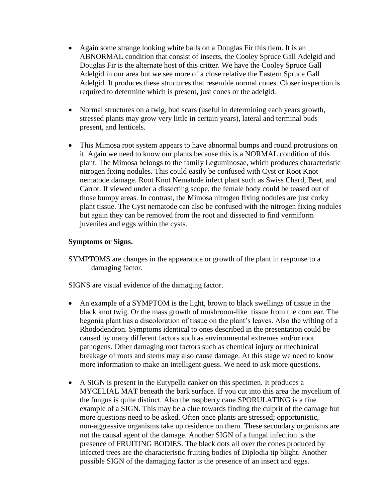- Again some strange looking white balls on a Douglas Fir this tiem. It is an ABNORMAL condition that consist of insects, the Cooley Spruce Gall Adelgid and Douglas Fir is the alternate host of this critter. We have the Cooley Spruce Gall Adelgid in our area but we see more of a close relative the Eastern Spruce Gall Adelgid. It produces these structures that resemble normal cones. Closer inspection is required to determine which is present, just cones or the adelgid.
- Normal structures on a twig, bud scars (useful in determining each years growth, stressed plants may grow very little in certain years), lateral and terminal buds present, and lenticels.
- This Mimosa root system appears to have abnormal bumps and round protrusions on it. Again we need to know our plants because this is a NORMAL condition of this plant. The Mimosa belongs to the family Leguminosae, which produces characteristic nitrogen fixing nodules. This could easily be confused with Cyst or Root Knot nematode damage. Root Knot Nematode infect plant such as Swiss Chard, Beet, and Carrot. If viewed under a dissecting scope, the female body could be teased out of those bumpy areas. In contrast, the Mimosa nitrogen fixing nodules are just corky plant tissue. The Cyst nematode can also be confused with the nitrogen fixing nodules but again they can be removed from the root and dissected to find vermiform juveniles and eggs within the cysts.

#### **Symptoms or Signs.**

SYMPTOMS are changes in the appearance or growth of the plant in response to a damaging factor.

SIGNS are visual evidence of the damaging factor.

- An example of a SYMPTOM is the light, brown to black swellings of tissue in the black knot twig. Or the mass growth of mushroom-like tissue from the corn ear. The begonia plant has a discoloration of tissue on the plant's leaves. Also the wilting of a Rhododendron. Symptoms identical to ones described in the presentation could be caused by many different factors such as environmental extremes and/or root pathogens. Other damaging root factors such as chemical injury or mechanical breakage of roots and stems may also cause damage. At this stage we need to know more information to make an intelligent guess. We need to ask more questions.
- A SIGN is present in the Eutypella canker on this specimen. It produces a MYCELIAL MAT beneath the bark surface. If you cut into this area the mycelium of the fungus is quite distinct. Also the raspberry cane SPORULATING is a fine example of a SIGN. This may be a clue towards finding the culprit of the damage but more questions need to be asked. Often once plants are stressed; opportunistic, non-aggressive organisms take up residence on them. These secondary organisms are not the causal agent of the damage. Another SIGN of a fungal infection is the presence of FRUITING BODIES. The black dots all over the cones produced by infected trees are the characteristic fruiting bodies of Diplodia tip blight. Another possible SIGN of the damaging factor is the presence of an insect and eggs.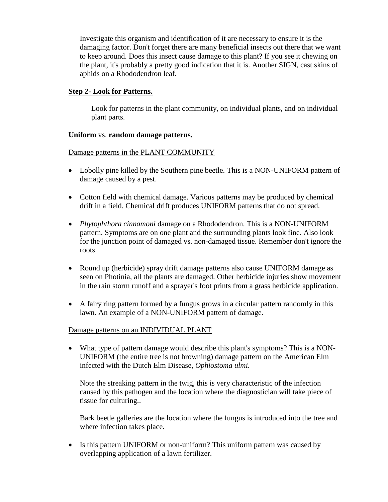Investigate this organism and identification of it are necessary to ensure it is the damaging factor. Don't forget there are many beneficial insects out there that we want to keep around. Does this insect cause damage to this plant? If you see it chewing on the plant, it's probably a pretty good indication that it is. Another SIGN, cast skins of aphids on a Rhododendron leaf.

#### **Step 2- Look for Patterns.**

Look for patterns in the plant community, on individual plants, and on individual plant parts.

#### **Uniform** vs. **random damage patterns.**

Damage patterns in the PLANT COMMUNITY

- Lobolly pine killed by the Southern pine beetle. This is a NON-UNIFORM pattern of damage caused by a pest.
- Cotton field with chemical damage. Various patterns may be produced by chemical drift in a field. Chemical drift produces UNIFORM patterns that do not spread.
- *Phytophthora cinnamoni* damage on a Rhododendron. This is a NON-UNIFORM pattern. Symptoms are on one plant and the surrounding plants look fine. Also look for the junction point of damaged vs. non-damaged tissue. Remember don't ignore the roots.
- Round up (herbicide) spray drift damage patterns also cause UNIFORM damage as seen on Photinia, all the plants are damaged. Other herbicide injuries show movement in the rain storm runoff and a sprayer's foot prints from a grass herbicide application.
- A fairy ring pattern formed by a fungus grows in a circular pattern randomly in this lawn. An example of a NON-UNIFORM pattern of damage.

## Damage patterns on an INDIVIDUAL PLANT

 What type of pattern damage would describe this plant's symptoms? This is a NON-UNIFORM (the entire tree is not browning) damage pattern on the American Elm infected with the Dutch Elm Disease, *Ophiostoma ulmi.*

Note the streaking pattern in the twig, this is very characteristic of the infection caused by this pathogen and the location where the diagnostician will take piece of tissue for culturing..

Bark beetle galleries are the location where the fungus is introduced into the tree and where infection takes place.

• Is this pattern UNIFORM or non-uniform? This uniform pattern was caused by overlapping application of a lawn fertilizer.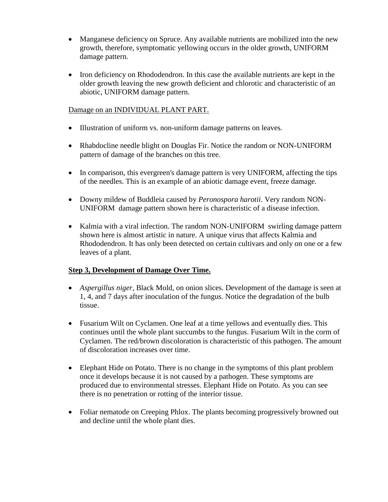- Manganese deficiency on Spruce. Any available nutrients are mobilized into the new growth, therefore, symptomatic yellowing occurs in the older growth, UNIFORM damage pattern.
- Iron deficiency on Rhododendron. In this case the available nutrients are kept in the older growth leaving the new growth deficient and chlorotic and characteristic of an abiotic, UNIFORM damage pattern.

## Damage on an INDIVIDUAL PLANT PART.

- Illustration of uniform vs. non-uniform damage patterns on leaves.
- Rhabdocline needle blight on Douglas Fir. Notice the random or NON-UNIFORM pattern of damage of the branches on this tree.
- In comparison, this evergreen's damage pattern is very UNIFORM, affecting the tips of the needles. This is an example of an abiotic damage event, freeze damage.
- Downy mildew of Buddleia caused by *Peronospora harotii*. Very random NON-UNIFORM damage pattern shown here is characteristic of a disease infection.
- Kalmia with a viral infection. The random NON-UNIFORM swirling damage pattern shown here is almost artistic in nature. A unique virus that affects Kalmia and Rhododendron. It has only been detected on certain cultivars and only on one or a few leaves of a plant.

## **Step 3, Development of Damage Over Time.**

- *Aspergillus niger,* Black Mold, on onion slices. Development of the damage is seen at 1, 4, and 7 days after inoculation of the fungus. Notice the degradation of the bulb tissue.
- Fusarium Wilt on Cyclamen. One leaf at a time yellows and eventually dies. This continues until the whole plant succumbs to the fungus. Fusarium Wilt in the corm of Cyclamen. The red/brown discoloration is characteristic of this pathogen. The amount of discoloration increases over time.
- Elephant Hide on Potato. There is no change in the symptoms of this plant problem once it develops because it is not caused by a pathogen. These symptoms are produced due to environmental stresses. Elephant Hide on Potato. As you can see there is no penetration or rotting of the interior tissue.
- Foliar nematode on Creeping Phlox. The plants becoming progressively browned out and decline until the whole plant dies.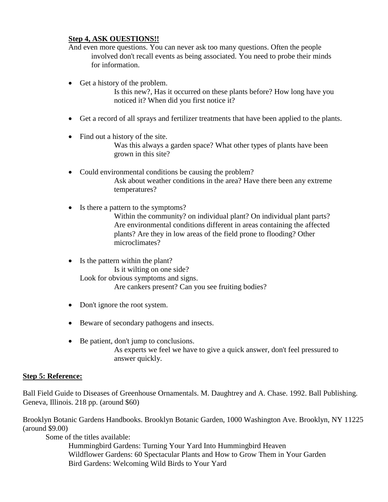#### **Step 4, ASK OUESTIONS!!**

And even more questions. You can never ask too many questions. Often the people involved don't recall events as being associated. You need to probe their minds for information.

• Get a history of the problem.

Is this new?, Has it occurred on these plants before? How long have you noticed it? When did you first notice it?

- Get a record of all sprays and fertilizer treatments that have been applied to the plants.
- Find out a history of the site. Was this always a garden space? What other types of plants have been grown in this site?
- Could environmental conditions be causing the problem? Ask about weather conditions in the area? Have there been any extreme temperatures?
- Is there a pattern to the symptoms? Within the community? on individual plant? On individual plant parts? Are environmental conditions different in areas containing the affected plants? Are they in low areas of the field prone to flooding? Other microclimates?
- Is the pattern within the plant? Is it wilting on one side? Look for obvious symptoms and signs. Are cankers present? Can you see fruiting bodies?
- Don't ignore the root system.
- Beware of secondary pathogens and insects.
- Be patient, don't jump to conclusions. As experts we feel we have to give a quick answer, don't feel pressured to answer quickly.

## **Step 5: Reference:**

Ball Field Guide to Diseases of Greenhouse Ornamentals. M. Daughtrey and A. Chase. 1992. Ball Publishing. Geneva, Illinois. 218 pp. (around \$60)

Brooklyn Botanic Gardens Handbooks. Brooklyn Botanic Garden, 1000 Washington Ave. Brooklyn, NY 11225 (around \$9.00)

Some of the titles available:

 Hummingbird Gardens: Turning Your Yard Into Hummingbird Heaven Wildflower Gardens: 60 Spectacular Plants and How to Grow Them in Your Garden Bird Gardens: Welcoming Wild Birds to Your Yard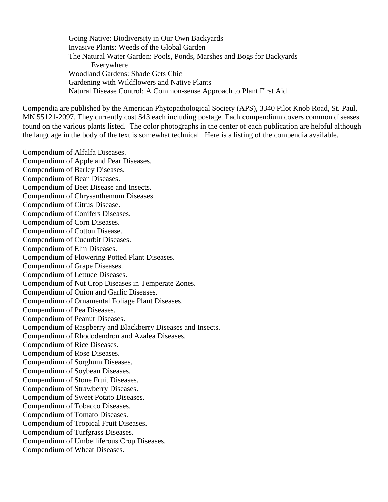Going Native: Biodiversity in Our Own Backyards Invasive Plants: Weeds of the Global Garden The Natural Water Garden: Pools, Ponds, Marshes and Bogs for Backyards Everywhere Woodland Gardens: Shade Gets Chic Gardening with Wildflowers and Native Plants Natural Disease Control: A Common-sense Approach to Plant First Aid

Compendia are published by the American Phytopathological Society (APS), 3340 Pilot Knob Road, St. Paul, MN 55121-2097. They currently cost \$43 each including postage. Each compendium covers common diseases found on the various plants listed. The color photographs in the center of each publication are helpful although the language in the body of the text is somewhat technical. Here is a listing of the compendia available.

Compendium of Alfalfa Diseases. Compendium of Apple and Pear Diseases. Compendium of Barley Diseases. Compendium of Bean Diseases. Compendium of Beet Disease and Insects. Compendium of Chrysanthemum Diseases. Compendium of Citrus Disease. Compendium of Conifers Diseases. Compendium of Corn Diseases. Compendium of Cotton Disease. Compendium of Cucurbit Diseases. Compendium of Elm Diseases. Compendium of Flowering Potted Plant Diseases. Compendium of Grape Diseases. Compendium of Lettuce Diseases. Compendium of Nut Crop Diseases in Temperate Zones. Compendium of Onion and Garlic Diseases. Compendium of Ornamental Foliage Plant Diseases. Compendium of Pea Diseases. Compendium of Peanut Diseases. Compendium of Raspberry and Blackberry Diseases and Insects. Compendium of Rhododendron and Azalea Diseases. Compendium of Rice Diseases. Compendium of Rose Diseases. Compendium of Sorghum Diseases. Compendium of Soybean Diseases. Compendium of Stone Fruit Diseases. Compendium of Strawberry Diseases. Compendium of Sweet Potato Diseases. Compendium of Tobacco Diseases. Compendium of Tomato Diseases. Compendium of Tropical Fruit Diseases. Compendium of Turfgrass Diseases. Compendium of Umbelliferous Crop Diseases. Compendium of Wheat Diseases.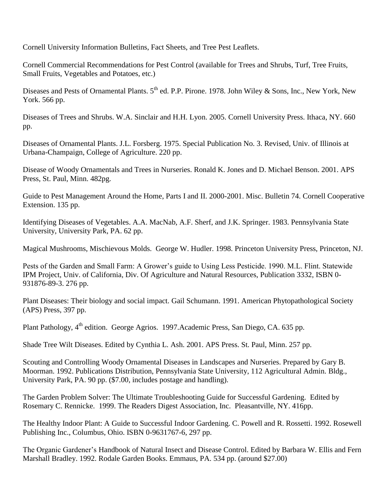Cornell University Information Bulletins, Fact Sheets, and Tree Pest Leaflets.

Cornell Commercial Recommendations for Pest Control (available for Trees and Shrubs, Turf, Tree Fruits, Small Fruits, Vegetables and Potatoes, etc.)

Diseases and Pests of Ornamental Plants. 5<sup>th</sup> ed. P.P. Pirone. 1978. John Wiley & Sons, Inc., New York, New York. 566 pp.

Diseases of Trees and Shrubs. W.A. Sinclair and H.H. Lyon. 2005. Cornell University Press. Ithaca, NY. 660 pp.

Diseases of Ornamental Plants. J.L. Forsberg. 1975. Special Publication No. 3. Revised, Univ. of Illinois at Urbana-Champaign, College of Agriculture. 220 pp.

Disease of Woody Ornamentals and Trees in Nurseries. Ronald K. Jones and D. Michael Benson. 2001. APS Press, St. Paul, Minn. 482pg.

Guide to Pest Management Around the Home, Parts I and II. 2000-2001. Misc. Bulletin 74. Cornell Cooperative Extension. 135 pp.

Identifying Diseases of Vegetables. A.A. MacNab, A.F. Sherf, and J.K. Springer. 1983. Pennsylvania State University, University Park, PA. 62 pp.

Magical Mushrooms, Mischievous Molds. George W. Hudler. 1998. Princeton University Press, Princeton, NJ.

Pests of the Garden and Small Farm: A Grower's guide to Using Less Pesticide. 1990. M.L. Flint. Statewide IPM Project, Univ. of California, Div. Of Agriculture and Natural Resources, Publication 3332, ISBN 0- 931876-89-3. 276 pp.

Plant Diseases: Their biology and social impact. Gail Schumann. 1991. American Phytopathological Society (APS) Press, 397 pp.

Plant Pathology, 4<sup>th</sup> edition. George Agrios. 1997.Academic Press, San Diego, CA. 635 pp.

Shade Tree Wilt Diseases. Edited by Cynthia L. Ash. 2001. APS Press. St. Paul, Minn. 257 pp.

Scouting and Controlling Woody Ornamental Diseases in Landscapes and Nurseries. Prepared by Gary B. Moorman. 1992. Publications Distribution, Pennsylvania State University, 112 Agricultural Admin. Bldg., University Park, PA. 90 pp. (\$7.00, includes postage and handling).

The Garden Problem Solver: The Ultimate Troubleshooting Guide for Successful Gardening. Edited by Rosemary C. Rennicke. 1999. The Readers Digest Association, Inc. Pleasantville, NY. 416pp.

The Healthy Indoor Plant: A Guide to Successful Indoor Gardening. C. Powell and R. Rossetti. 1992. Rosewell Publishing Inc., Columbus, Ohio. ISBN 0-9631767-6, 297 pp.

The Organic Gardener's Handbook of Natural Insect and Disease Control. Edited by Barbara W. Ellis and Fern Marshall Bradley. 1992. Rodale Garden Books. Emmaus, PA. 534 pp. (around \$27.00)